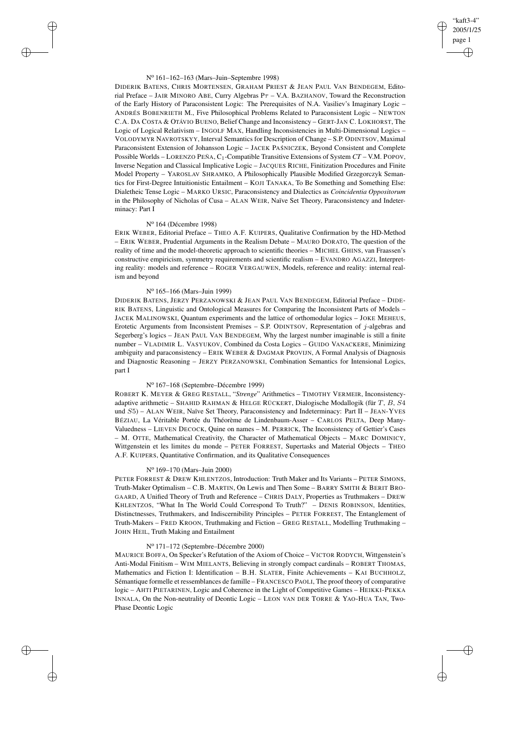## "kaft3-4" 2005/1/25 page 1 ✐ ✐

✐

✐

#### N<sup>o</sup> 161–162–163 (Mars–Juin–Septembre 1998)

DIDERIK BATENS, CHRIS MORTENSEN, GRAHAM PRIEST & JEAN PAUL VAN BENDEGEM, Editorial Preface – JAIR MINORO ABE, Curry Algebras  $P\tau$  – V.A. BAZHANOV, Toward the Reconstruction of the Early History of Paraconsistent Logic: The Prerequisites of N.A. Vasiliev's Imaginary Logic – ANDRÉS BOBENRIETH M., Five Philosophical Problems Related to Paraconsistent Logic – NEWTON C.A. DA COSTA & OTÁVIO BUENO, Belief Change and Inconsistency – GERT-JAN C. LOKHORST, The Logic of Logical Relativism – INGOLF MAX, Handling Inconsistencies in Multi-Dimensional Logics – VOLODYMYR NAVROTSKYY, Interval Semantics for Description of Change – S.P. ODINTSOV, Maximal Paraconsistent Extension of Johansson Logic - JACEK PAŚNICZEK, Beyond Consistent and Complete Possible Worlds – LORENZO PEÑA, C<sub>1</sub>-Compatible Transitive Extensions of System  $CT - V.M.$  POPOV, Inverse Negation and Classical Implicative Logic – JACQUES RICHE, Finitization Procedures and Finite Model Property – YAROSLAV SHRAMKO, A Philosophically Plausible Modified Grzegorczyk Semantics for First-Degree Intuitionistic Entailment – KOJI TANAKA, To Be Something and Something Else: Dialetheic Tense Logic – MARKO URSIC, Paraconsistency and Dialectics as *Coincidentia Oppositorum* in the Philosophy of Nicholas of Cusa – ALAN WEIR, Naïve Set Theory, Paraconsistency and Indeterminacy: Part I

## N<sup>o</sup> 164 (Décembre 1998)

✐

✐

✐

✐

ERIK WEBER, Editorial Preface – THEO A.F. KUIPERS, Qualitative Confirmation by the HD-Method – ERIK WEBER, Prudential Arguments in the Realism Debate – MAURO DORATO, The question of the reality of time and the model-theoretic approach to scientific theories – MICHEL GHINS, van Fraassen's constructive empiricism, symmetry requirements and scientific realism – EVANDRO AGAZZI, Interpreting reality: models and reference – ROGER VERGAUWEN, Models, reference and reality: internal realism and beyond

### N<sup>o</sup> 165–166 (Mars–Juin 1999)

DIDERIK BATENS, JERZY PERZANOWSKI & JEAN PAUL VAN BENDEGEM, Editorial Preface – DIDE-RIK BATENS, Linguistic and Ontological Measures for Comparing the Inconsistent Parts of Models – JACEK MALINOWSKI, Quantum experiments and the lattice of orthomodular logics – JOKE MEHEUS, Erotetic Arguments from Inconsistent Premises – S.P. ODINTSOV, Representation of j-algebras and Segerberg's logics – JEAN PAUL VAN BENDEGEM, Why the largest number imaginable is still a finite number – VLADIMIR L. VASYUKOV, Combined da Costa Logics – GUIDO VANACKERE, Minimizing ambiguity and paraconsistency – ERIK WEBER & DAGMAR PROVIJN, A Formal Analysis of Diagnosis and Diagnostic Reasoning – JERZY PERZANOWSKI, Combination Semantics for Intensional Logics, part I

### N<sup>o</sup> 167–168 (Septembre–Décembre 1999)

ROBERT K. MEYER & GREG RESTALL, "*Strenge*" Arithmetics – TIMOTHY VERMEIR, Inconsistencyadaptive arithmetic – SHAHID RAHMAN & HELGE RÜCKERT, Dialogische Modallogik (für T, B, S4 und S5) – ALAN WEIR, Naïve Set Theory, Paraconsistency and Indeterminacy: Part II – JEAN-YVES BÉZIAU, La Véritable Portée du Théorème de Lindenbaum-Asser – CARLOS PELTA, Deep Many-Valuedness – LIEVEN DECOCK, Quine on names – M. PERRICK, The Inconsistency of Gettier's Cases – M. OTTE, Mathematical Creativity, the Character of Mathematical Objects – MARC DOMINICY, Wittgenstein et les limites du monde – PETER FORREST, Supertasks and Material Objects – THEO A.F. KUIPERS, Quantitative Confirmation, and its Qualitative Consequences

#### N<sup>o</sup> 169–170 (Mars–Juin 2000)

PETER FORREST & DREW KHLENTZOS, Introduction: Truth Maker and Its Variants – PETER SIMONS, Truth-Maker Optimalism – C.B. MARTIN, On Lewis and Then Some – BARRY SMITH & BERIT BRO-GAARD, A Unified Theory of Truth and Reference – CHRIS DALY, Properties as Truthmakers – DREW KHLENTZOS, "What In The World Could Correspond To Truth?" – DENIS ROBINSON, Identities, Distinctnesses, Truthmakers, and Indiscernibility Principles – PETER FORREST, The Entanglement of Truth-Makers – FRED KROON, Truthmaking and Fiction – GREG RESTALL, Modelling Truthmaking – JOHN HEIL, Truth Making and Entailment

### N<sup>o</sup> 171–172 (Septembre–Décembre 2000)

MAURICE BOFFA, On Specker's Refutation of the Axiom of Choice – VICTOR RODYCH, Wittgenstein's Anti-Modal Finitism – WIM MIELANTS, Believing in strongly compact cardinals – ROBERT THOMAS, Mathematics and Fiction I: Identification – B.H. SLATER, Finite Achievements – KAI BUCHHOLZ, Sémantique formelle et ressemblances de famille – FRANCESCO PAOLI, The proof theory of comparative logic – AHTI PIETARINEN, Logic and Coherence in the Light of Competitive Games – HEIKKI-PEKKA INNALA, On the Non-neutrality of Deontic Logic – LEON VAN DER TORRE & YAO-HUA TAN, Two-Phase Deontic Logic